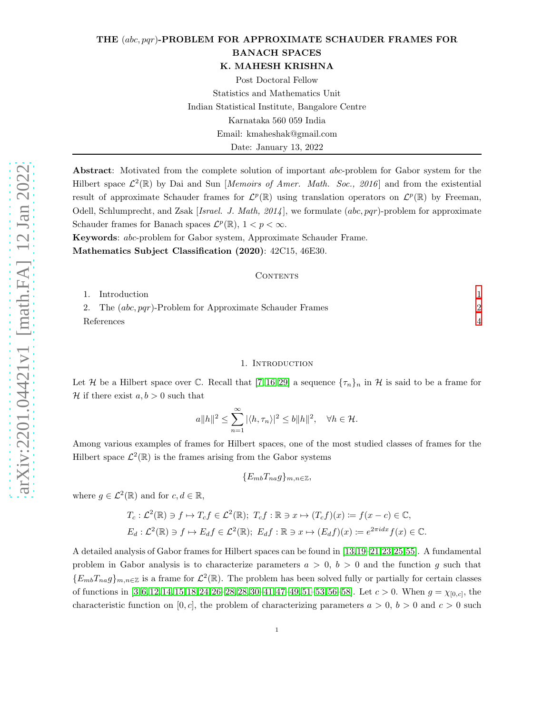# THE (abc, pqr)-PROBLEM FOR APPROXIMATE SCHAUDER FRAMES FOR BANACH SPACES

K. MAHESH KRISHNA

Post Doctoral Fellow Statistics and Mathematics Unit Indian Statistical Institute, Bangalore Centre Karnataka 560 059 India Email: kmaheshak@gmail.com Date: January 13, 2022

Abstract: Motivated from the complete solution of important *abc*-problem for Gabor system for the Hilbert space  $\mathcal{L}^2(\mathbb{R})$  by Dai and Sun [Memoirs of Amer. Math. Soc., 2016] and from the existential result of approximate Schauder frames for  $\mathcal{L}^p(\mathbb{R})$  using translation operators on  $\mathcal{L}^p(\mathbb{R})$  by Freeman, Odell, Schlumprecht, and Zsak [Israel. J. Math,  $2014$ ], we formulate (abc, pqr)-problem for approximate Schauder frames for Banach spaces  $\mathcal{L}^p(\mathbb{R}), 1 < p < \infty$ .

Keywords: abc-problem for Gabor system, Approximate Schauder Frame. Mathematics Subject Classification (2020): 42C15, 46E30.

#### CONTENTS

|  | 1. Introduction                                              |  |
|--|--------------------------------------------------------------|--|
|  | 2. The $(abc, pqr)$ -Problem for Approximate Schauder Frames |  |
|  | References                                                   |  |

#### 1. Introduction

<span id="page-0-0"></span>Let H be a Hilbert space over C. Recall that [\[7,](#page-3-1) [16,](#page-3-2) [29\]](#page-4-0) a sequence  $\{\tau_n\}_n$  in H is said to be a frame for H if there exist  $a, b > 0$  such that

$$
a||h||^2 \le \sum_{n=1}^{\infty} |\langle h, \tau_n \rangle|^2 \le b||h||^2, \quad \forall h \in \mathcal{H}.
$$

Among various examples of frames for Hilbert spaces, one of the most studied classes of frames for the Hilbert space  $\mathcal{L}^2(\mathbb{R})$  is the frames arising from the Gabor systems

 ${E_{mb}}T_{na}g_{m,n\in\mathbb{Z}}$ 

where  $g \in \mathcal{L}^2(\mathbb{R})$  and for  $c, d \in \mathbb{R}$ ,

$$
T_c: \mathcal{L}^2(\mathbb{R}) \ni f \mapsto T_c f \in \mathcal{L}^2(\mathbb{R}); \ T_c f : \mathbb{R} \ni x \mapsto (T_c f)(x) := f(x - c) \in \mathbb{C},
$$
  

$$
E_d: \mathcal{L}^2(\mathbb{R}) \ni f \mapsto E_d f \in \mathcal{L}^2(\mathbb{R}); \ E_d f : \mathbb{R} \ni x \mapsto (E_d f)(x) := e^{2\pi i dx} f(x) \in \mathbb{C}.
$$

A detailed analysis of Gabor frames for Hilbert spaces can be found in [\[13,](#page-3-3)[19–](#page-3-4)[21,](#page-3-5)[23,](#page-3-6)[25,](#page-3-7)[55\]](#page-4-1). A fundamental problem in Gabor analysis is to characterize parameters  $a > 0, b > 0$  and the function g such that  ${E_{mb}}T_{na}g\}_{m,n\in\mathbb{Z}}$  is a frame for  $\mathcal{L}^2(\mathbb{R})$ . The problem has been solved fully or partially for certain classes of functions in  $[3, 6, 12, 14, 15, 18, 24, 26-28, 28, 30-41, 47-49, 51-53, 56-58]$  $[3, 6, 12, 14, 15, 18, 24, 26-28, 28, 30-41, 47-49, 51-53, 56-58]$  $[3, 6, 12, 14, 15, 18, 24, 26-28, 28, 30-41, 47-49, 51-53, 56-58]$  $[3, 6, 12, 14, 15, 18, 24, 26-28, 28, 30-41, 47-49, 51-53, 56-58]$  $[3, 6, 12, 14, 15, 18, 24, 26-28, 28, 30-41, 47-49, 51-53, 56-58]$  $[3, 6, 12, 14, 15, 18, 24, 26-28, 28, 30-41, 47-49, 51-53, 56-58]$  $[3, 6, 12, 14, 15, 18, 24, 26-28, 28, 30-41, 47-49, 51-53, 56-58]$  $[3, 6, 12, 14, 15, 18, 24, 26-28, 28, 30-41, 47-49, 51-53, 56-58]$  $[3, 6, 12, 14, 15, 18, 24, 26-28, 28, 30-41, 47-49, 51-53, 56-58]$  $[3, 6, 12, 14, 15, 18, 24, 26-28, 28, 30-41, 47-49, 51-53, 56-58]$  $[3, 6, 12, 14, 15, 18, 24, 26-28, 28, 30-41, 47-49, 51-53, 56-58]$  $[3, 6, 12, 14, 15, 18, 24, 26-28, 28, 30-41, 47-49, 51-53, 56-58]$  $[3, 6, 12, 14, 15, 18, 24, 26-28, 28, 30-41, 47-49, 51-53, 56-58]$  $[3, 6, 12, 14, 15, 18, 24, 26-28, 28, 30-41, 47-49, 51-53, 56-58]$  $[3, 6, 12, 14, 15, 18, 24, 26-28, 28, 30-41, 47-49, 51-53, 56-58]$ . Let  $c > 0$ . When  $g = \chi_{[0,c]}$ , the characteristic function on [0, c], the problem of characterizing parameters  $a > 0$ ,  $b > 0$  and  $c > 0$  such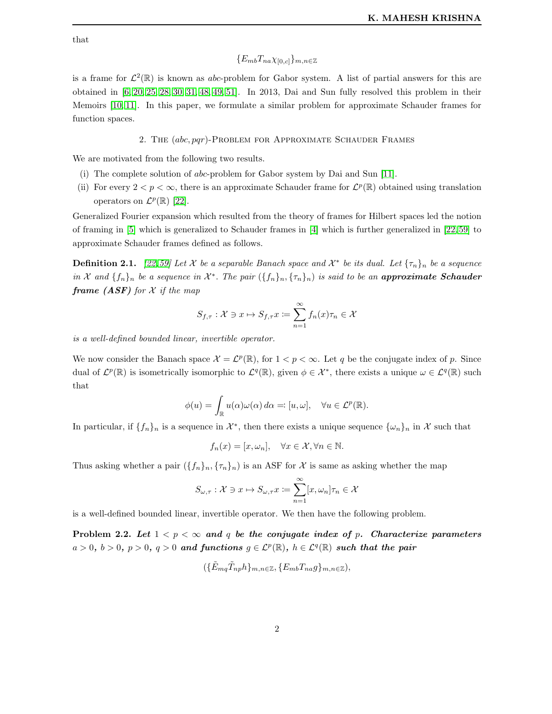that

# ${E_{mb}}T_{na}\chi_{[0,c]}_{m,n\in\mathbb{Z}}$

is a frame for  $\mathcal{L}^2(\mathbb{R})$  is known as abc-problem for Gabor system. A list of partial answers for this are obtained in [\[6,](#page-3-9) [20,](#page-3-16) [25,](#page-3-7) [28,](#page-4-2) [30,](#page-4-3) [31,](#page-4-9) [48,](#page-4-10) [49,](#page-4-6) [51\]](#page-4-7). In 2013, Dai and Sun fully resolved this problem in their Memoirs [\[10,](#page-3-17) [11\]](#page-3-18). In this paper, we formulate a similar problem for approximate Schauder frames for function spaces.

## 2. The (abc, pqr)-Problem for Approximate Schauder Frames

<span id="page-1-0"></span>We are motivated from the following two results.

- (i) The complete solution of abc-problem for Gabor system by Dai and Sun [\[11\]](#page-3-18).
- (ii) For every  $2 < p < \infty$ , there is an approximate Schauder frame for  $\mathcal{L}^p(\mathbb{R})$  obtained using translation operators on  $\mathcal{L}^p(\mathbb{R})$  [\[22\]](#page-3-19).

Generalized Fourier expansion which resulted from the theory of frames for Hilbert spaces led the notion of framing in [\[5\]](#page-3-20) which is generalized to Schauder frames in [\[4\]](#page-3-21) which is further generalized in [\[22,](#page-3-19) [59\]](#page-5-2) to approximate Schauder frames defined as follows.

**Definition 2.1.** [\[22,](#page-3-19)[59\]](#page-5-2) Let X be a separable Banach space and  $\mathcal{X}^*$  be its dual. Let  $\{\tau_n\}_n$  be a sequence in X and  $\{f_n\}_n$  be a sequence in  $\mathcal{X}^*$ . The pair  $(\{f_n\}_n, \{\tau_n\}_n)$  is said to be an **approximate Schauder frame** (ASF) for  $X$  if the map

$$
S_{f,\tau}: \mathcal{X} \ni x \mapsto S_{f,\tau}x \coloneqq \sum_{n=1}^{\infty} f_n(x)\tau_n \in \mathcal{X}
$$

is a well-defined bounded linear, invertible operator.

We now consider the Banach space  $\mathcal{X} = \mathcal{L}^p(\mathbb{R})$ , for  $1 < p < \infty$ . Let q be the conjugate index of p. Since dual of  $\mathcal{L}^p(\mathbb{R})$  is isometrically isomorphic to  $\mathcal{L}^q(\mathbb{R})$ , given  $\phi \in \mathcal{X}^*$ , there exists a unique  $\omega \in \mathcal{L}^q(\mathbb{R})$  such that

$$
\phi(u) = \int_{\mathbb{R}} u(\alpha)\omega(\alpha) d\alpha =: [u, \omega], \quad \forall u \in \mathcal{L}^p(\mathbb{R}).
$$

In particular, if  $\{f_n\}_n$  is a sequence in  $\mathcal{X}^*$ , then there exists a unique sequence  $\{\omega_n\}_n$  in  $\mathcal{X}$  such that

$$
f_n(x) = [x, \omega_n], \quad \forall x \in \mathcal{X}, \forall n \in \mathbb{N}.
$$

Thus asking whether a pair  $({f_n}_n,{f_n}_n)$  is an ASF for X is same as asking whether the map

$$
S_{\omega,\tau}: \mathcal{X} \ni x \mapsto S_{\omega,\tau}x \coloneqq \sum_{n=1}^{\infty} [x, \omega_n] \tau_n \in \mathcal{X}
$$

is a well-defined bounded linear, invertible operator. We then have the following problem.

<span id="page-1-1"></span>Problem 2.2. Let  $1 < p < \infty$  and q be the conjugate index of p. Characterize parameters  $a > 0, b > 0, p > 0, q > 0$  and functions  $g \in \mathcal{L}^p(\mathbb{R}), h \in \mathcal{L}^q(\mathbb{R})$  such that the pair

$$
(\{\tilde{E}_{mq}\tilde{T}_{np}h\}_{m,n\in\mathbb{Z}},\{E_{mb}T_{na}g\}_{m,n\in\mathbb{Z}}),
$$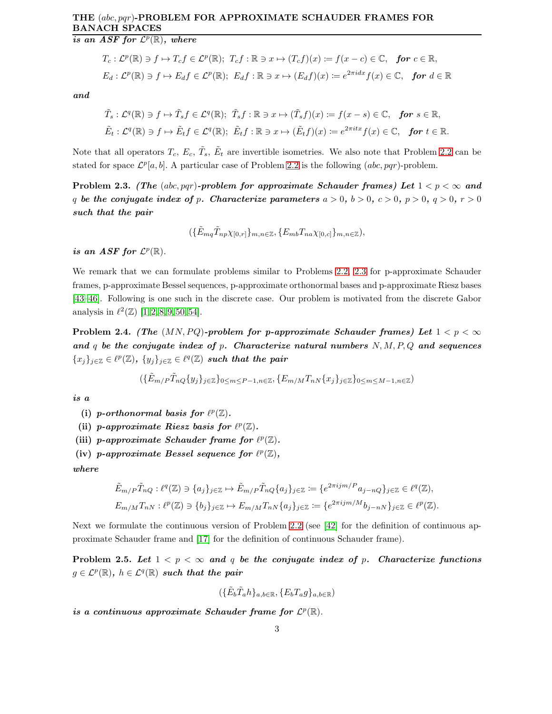# THE (abc, pqr)-PROBLEM FOR APPROXIMATE SCHAUDER FRAMES FOR BANACH SPACES

is an ASF for  $\mathcal{L}^p(\mathbb{R})$ , where

$$
T_c: \mathcal{L}^p(\mathbb{R}) \ni f \mapsto T_c f \in \mathcal{L}^p(\mathbb{R}); \ T_c f : \mathbb{R} \ni x \mapsto (T_c f)(x) := f(x - c) \in \mathbb{C}, \ \text{for } c \in \mathbb{R},
$$
  

$$
E_d: \mathcal{L}^p(\mathbb{R}) \ni f \mapsto E_d f \in \mathcal{L}^p(\mathbb{R}); \ E_d f : \mathbb{R} \ni x \mapsto (E_d f)(x) := e^{2\pi i dx} f(x) \in \mathbb{C}, \ \text{for } d \in \mathbb{R}
$$

and

$$
\tilde{T}_s: \mathcal{L}^q(\mathbb{R}) \ni f \mapsto \tilde{T}_s f \in \mathcal{L}^q(\mathbb{R}); \quad \tilde{T}_s f: \mathbb{R} \ni x \mapsto (\tilde{T}_s f)(x) := f(x - s) \in \mathbb{C}, \quad \text{for } s \in \mathbb{R},
$$
\n
$$
\tilde{E}_t: \mathcal{L}^q(\mathbb{R}) \ni f \mapsto \tilde{E}_t f \in \mathcal{L}^q(\mathbb{R}); \quad \tilde{E}_t f: \mathbb{R} \ni x \mapsto (\tilde{E}_t f)(x) := e^{2\pi i t x} f(x) \in \mathbb{C}, \quad \text{for } t \in \mathbb{R}.
$$

Note that all operators  $T_c, E_c, \tilde{T}_s, \tilde{E}_t$  are invertible isometries. We also note that Problem [2.2](#page-1-1) can be stated for space  $\mathcal{L}^p[a, b]$ . A particular case of Problem [2.2](#page-1-1) is the following  $(abc, pqr)$ -problem.

<span id="page-2-0"></span>Problem 2.3. (The (abc, pqr)-problem for approximate Schauder frames) Let  $1 < p < \infty$  and q be the conjugate index of p. Characterize parameters  $a > 0$ ,  $b > 0$ ,  $c > 0$ ,  $p > 0$ ,  $q > 0$ ,  $r > 0$ such that the pair

$$
(\{\tilde{E}_{mq}\tilde{T}_{np}\chi_{[0,r]}\}_{m,n\in\mathbb{Z}},\{E_{mb}T_{na}\chi_{[0,c]}\}_{m,n\in\mathbb{Z}}),
$$

is an ASF for  $\mathcal{L}^p(\mathbb{R})$ .

We remark that we can formulate problems similar to Problems [2.2,](#page-1-1) [2.3](#page-2-0) for p-approximate Schauder frames, p-approximate Bessel sequences, p-approximate orthonormal bases and p-approximate Riesz bases [\[43](#page-4-11)[–46\]](#page-4-12). Following is one such in the discrete case. Our problem is motivated from the discrete Gabor analysis in  $\ell^2(\mathbb{Z})$  [\[1,](#page-3-22) [2,](#page-3-23) [8,](#page-3-24) [9,](#page-3-25) [50,](#page-4-13) [54\]](#page-4-14).

Problem 2.4. (The  $(MN, PQ)$ -problem for p-approximate Schauder frames) Let  $1 < p < \infty$ and q be the conjugate index of p. Characterize natural numbers  $N, M, P, Q$  and sequences  ${x_j}_{j\in\mathbb{Z}} \in \ell^p(\mathbb{Z}), \ {y_j}_{j\in\mathbb{Z}} \in \ell^q(\mathbb{Z})$  such that the pair

$$
(\{\tilde{E}_{m/P}\tilde{T}_{nQ}\{y_j\}_{j\in\mathbb{Z}}\}_{0\leq m\leq P-1,n\in\mathbb{Z}},\{E_{m/M}T_{nN}\{x_j\}_{j\in\mathbb{Z}}\}_{0\leq m\leq M-1,n\in\mathbb{Z}})
$$

is a

- (i) p-orthonormal basis for  $\ell^p(\mathbb{Z})$ .
- (ii) p-approximate Riesz basis for  $\ell^p(\mathbb{Z})$ .
- (iii) p-approximate Schauder frame for  $\ell^p(\mathbb{Z})$ .
- (iv) p-approximate Bessel sequence for  $\ell^p(\mathbb{Z})$ ,

where

$$
\tilde{E}_{m/P}\tilde{T}_{nQ}: \ell^q(\mathbb{Z}) \ni \{a_j\}_{j \in \mathbb{Z}} \mapsto \tilde{E}_{m/P}\tilde{T}_{nQ}\{a_j\}_{j \in \mathbb{Z}} := \{e^{2\pi ijm/P}a_{j-nQ}\}_{j \in \mathbb{Z}} \in \ell^q(\mathbb{Z}),
$$
\n
$$
E_{m/M}\tilde{T}_{nN}: \ell^p(\mathbb{Z}) \ni \{b_j\}_{j \in \mathbb{Z}} \mapsto E_{m/M}\tilde{T}_{nN}\{a_j\}_{j \in \mathbb{Z}} := \{e^{2\pi ijm/M}b_{j-nN}\}_{j \in \mathbb{Z}} \in \ell^p(\mathbb{Z}).
$$

Next we formulate the continuous version of Problem [2.2](#page-1-1) (see [\[42\]](#page-4-15) for the definition of continuous approximate Schauder frame and [\[17\]](#page-3-26) for the definition of continuous Schauder frame).

Problem 2.5. Let  $1 < p < \infty$  and q be the conjugate index of p. Characterize functions  $g \in \mathcal{L}^p(\mathbb{R}), h \in \mathcal{L}^q(\mathbb{R})$  such that the pair

$$
(\{\tilde{E}_b \tilde{T}_a h\}_{a,b\in\mathbb{R}}, \{E_b T_a g\}_{a,b\in\mathbb{R}})
$$

is a continuous approximate Schauder frame for  $\mathcal{L}^p(\mathbb{R})$ .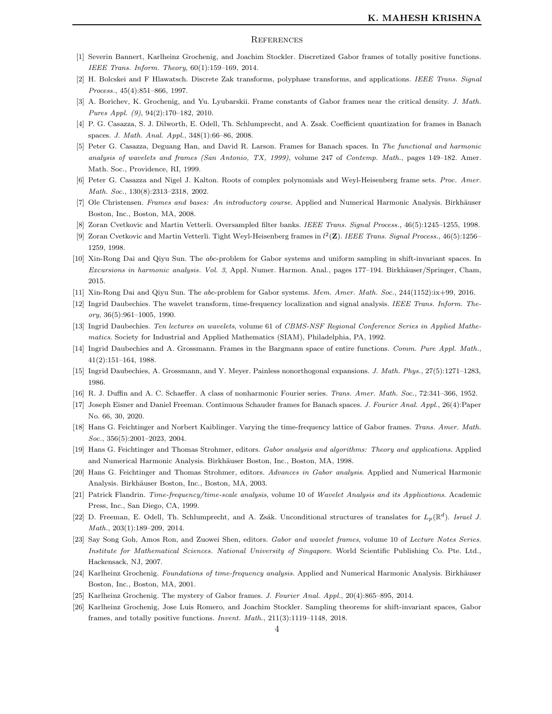### <span id="page-3-0"></span>**REFERENCES**

- <span id="page-3-23"></span><span id="page-3-22"></span>[1] Severin Bannert, Karlheinz Grochenig, and Joachim Stockler. Discretized Gabor frames of totally positive functions. IEEE Trans. Inform. Theory, 60(1):159–169, 2014.
- <span id="page-3-8"></span>[2] H. Bolcskei and F Hlawatsch. Discrete Zak transforms, polyphase transforms, and applications. IEEE Trans. Signal Process., 45(4):851–866, 1997.
- <span id="page-3-21"></span>[3] A. Borichev, K. Grochenig, and Yu. Lyubarskii. Frame constants of Gabor frames near the critical density. J. Math. Pures Appl. (9), 94(2):170–182, 2010.
- <span id="page-3-20"></span>[4] P. G. Casazza, S. J. Dilworth, E. Odell, Th. Schlumprecht, and A. Zsak. Coefficient quantization for frames in Banach spaces. J. Math. Anal. Appl., 348(1):66–86, 2008.
- [5] Peter G. Casazza, Deguang Han, and David R. Larson. Frames for Banach spaces. In The functional and harmonic analysis of wavelets and frames (San Antonio, TX, 1999), volume 247 of Contemp. Math., pages 149–182. Amer. Math. Soc., Providence, RI, 1999.
- <span id="page-3-9"></span><span id="page-3-1"></span>[6] Peter G. Casazza and Nigel J. Kalton. Roots of complex polynomials and Weyl-Heisenberg frame sets. Proc. Amer. Math. Soc., 130(8):2313–2318, 2002.
- <span id="page-3-24"></span>[7] Ole Christensen. Frames and bases: An introductory course. Applied and Numerical Harmonic Analysis. Birkhäuser Boston, Inc., Boston, MA, 2008.
- <span id="page-3-25"></span>[8] Zoran Cvetkovic and Martin Vetterli. Oversampled filter banks. IEEE Trans. Signal Process., 46(5):1245–1255, 1998.
- <span id="page-3-17"></span>[9] Zoran Cvetkovic and Martin Vetterli. Tight Weyl-Heisenberg frames in  $l^2(\mathbf{Z})$ . IEEE Trans. Signal Process., 46(5):1256– 1259, 1998.
- [10] Xin-Rong Dai and Qiyu Sun. The abc-problem for Gabor systems and uniform sampling in shift-invariant spaces. In Excursions in harmonic analysis. Vol. 3, Appl. Numer. Harmon. Anal., pages 177-194. Birkhäuser/Springer, Cham, 2015.
- <span id="page-3-18"></span><span id="page-3-10"></span>[11] Xin-Rong Dai and Qiyu Sun. The abc-problem for Gabor systems. Mem. Amer. Math. Soc., 244(1152):ix+99, 2016.
- <span id="page-3-3"></span>[12] Ingrid Daubechies. The wavelet transform, time-frequency localization and signal analysis. IEEE Trans. Inform. The $ory, 36(5):961-1005, 1990.$
- <span id="page-3-11"></span>[13] Ingrid Daubechies. Ten lectures on wavelets, volume 61 of CBMS-NSF Regional Conference Series in Applied Mathematics. Society for Industrial and Applied Mathematics (SIAM), Philadelphia, PA, 1992.
- <span id="page-3-12"></span>[14] Ingrid Daubechies and A. Grossmann. Frames in the Bargmann space of entire functions. Comm. Pure Appl. Math., 41(2):151–164, 1988.
- <span id="page-3-2"></span>[15] Ingrid Daubechies, A. Grossmann, and Y. Meyer. Painless nonorthogonal expansions. J. Math. Phys., 27(5):1271–1283, 1986.
- <span id="page-3-26"></span>[16] R. J. Duffin and A. C. Schaeffer. A class of nonharmonic Fourier series. Trans. Amer. Math. Soc., 72:341–366, 1952.
- <span id="page-3-13"></span>[17] Joseph Eisner and Daniel Freeman. Continuous Schauder frames for Banach spaces. J. Fourier Anal. Appl., 26(4):Paper No. 66, 30, 2020.
- <span id="page-3-4"></span>[18] Hans G. Feichtinger and Norbert Kaiblinger. Varying the time-frequency lattice of Gabor frames. Trans. Amer. Math. Soc., 356(5):2001-2023, 2004.
- <span id="page-3-16"></span>[19] Hans G. Feichtinger and Thomas Strohmer, editors. Gabor analysis and algorithms: Theory and applications. Applied and Numerical Harmonic Analysis. Birkhäuser Boston, Inc., Boston, MA, 1998.
- <span id="page-3-5"></span>[20] Hans G. Feichtinger and Thomas Strohmer, editors. Advances in Gabor analysis. Applied and Numerical Harmonic Analysis. Birkhäuser Boston, Inc., Boston, MA, 2003.
- <span id="page-3-19"></span>[21] Patrick Flandrin. Time-frequency/time-scale analysis, volume 10 of Wavelet Analysis and its Applications. Academic Press, Inc., San Diego, CA, 1999.
- <span id="page-3-6"></span>[22] D. Freeman, E. Odell, Th. Schlumprecht, and A. Zsák. Unconditional structures of translates for  $L_p(\mathbb{R}^d)$ . Israel J. Math., 203(1):189–209, 2014.
- [23] Say Song Goh, Amos Ron, and Zuowei Shen, editors. Gabor and wavelet frames, volume 10 of Lecture Notes Series. Institute for Mathematical Sciences. National University of Singapore. World Scientific Publishing Co. Pte. Ltd., Hackensack, NJ, 2007.
- <span id="page-3-14"></span><span id="page-3-7"></span>[24] Karlheinz Grochenig. Foundations of time-frequency analysis. Applied and Numerical Harmonic Analysis. Birkhäuser Boston, Inc., Boston, MA, 2001.
- <span id="page-3-15"></span>[25] Karlheinz Grochenig. The mystery of Gabor frames. J. Fourier Anal. Appl., 20(4):865–895, 2014.
- [26] Karlheinz Grochenig, Jose Luis Romero, and Joachim Stockler. Sampling theorems for shift-invariant spaces, Gabor frames, and totally positive functions. Invent. Math., 211(3):1119–1148, 2018.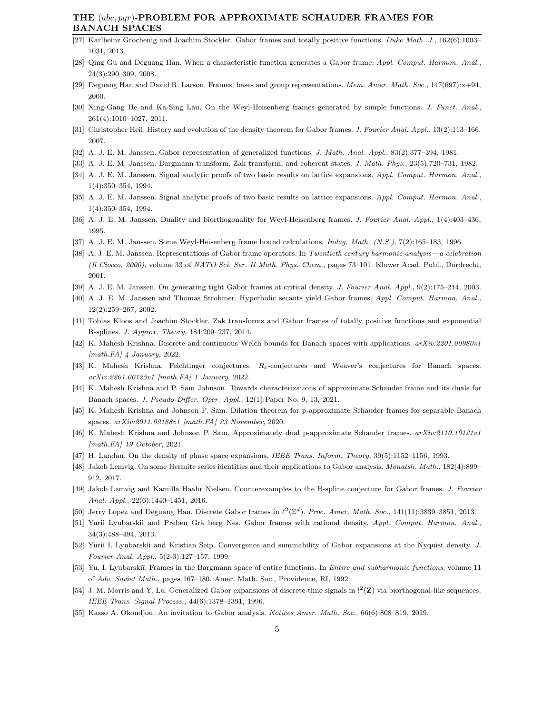## THE (abc, pqr)-PROBLEM FOR APPROXIMATE SCHAUDER FRAMES FOR BANACH SPACES

- <span id="page-4-2"></span>[27] Karlheinz Grochenig and Joachim Stockler. Gabor frames and totally positive functions. Duke Math. J., 162(6):1003– 1031, 2013.
- <span id="page-4-0"></span>[28] Qing Gu and Deguang Han. When a characteristic function generates a Gabor frame. Appl. Comput. Harmon. Anal., 24(3):290–309, 2008.
- <span id="page-4-3"></span>[29] Deguang Han and David R. Larson. Frames, bases and group representations. Mem. Amer. Math. Soc., 147(697):x+94, 2000.
- <span id="page-4-9"></span>[30] Xing-Gang He and Ka-Sing Lau. On the Weyl-Heisenberg frames generated by simple functions. J. Funct. Anal., 261(4):1010–1027, 2011.
- [31] Christopher Heil. History and evolution of the density theorem for Gabor frames. J. Fourier Anal. Appl., 13(2):113–166, 2007.
- [32] A. J. E. M. Janssen. Gabor representation of generalized functions. J. Math. Anal. Appl., 83(2):377–394, 1981.
- [33] A. J. E. M. Janssen. Bargmann transform, Zak transform, and coherent states. J. Math. Phys., 23(5):720–731, 1982.
- [34] A. J. E. M. Janssen. Signal analytic proofs of two basic results on lattice expansions. Appl. Comput. Harmon. Anal., 1(4):350–354, 1994.
- [35] A. J. E. M. Janssen. Signal analytic proofs of two basic results on lattice expansions. Appl. Comput. Harmon. Anal., 1(4):350–354, 1994.
- [36] A. J. E. M. Janssen. Duality and biorthogonality for Weyl-Heisenberg frames. J. Fourier Anal. Appl., 1(4):403–436, 1995.
- [37] A. J. E. M. Janssen. Some Weyl-Heisenberg frame bound calculations. Indag. Math. (N.S.), 7(2):165–183, 1996.
- [38] A. J. E. M. Janssen. Representations of Gabor frame operators. In Twentieth century harmonic analysis—a celebration (Il Ciocco, 2000), volume 33 of NATO Sci. Ser. II Math. Phys. Chem., pages 73–101. Kluwer Acad. Publ., Dordrecht, 2001.
- [39] A. J. E. M. Janssen. On generating tight Gabor frames at critical density. J. Fourier Anal. Appl., 9(2):175–214, 2003.
- <span id="page-4-4"></span>[40] A. J. E. M. Janssen and Thomas Strohmer. Hyperbolic secants yield Gabor frames. Appl. Comput. Harmon. Anal., 12(2):259–267, 2002.
- <span id="page-4-15"></span>[41] Tobias Kloos and Joachim Stockler. Zak transforms and Gabor frames of totally positive functions and exponential B-splines. J. Approx. Theory, 184:209–237, 2014.
- <span id="page-4-11"></span>[42] K. Mahesh Krishna. Discrete and continuous Welch bounds for Banach spaces with applications.  $arXiv:2201.00980v1$  $[math.FA]$  4 January, 2022.
- [43] K. Mahesh Krishna. Feichtinger conjectures, Rε-conjectures and Weaver's conjectures for Banach spaces. arXiv:2201.00125v1 [math.FA] 1 January, 2022.
- [44] K. Mahesh Krishna and P. Sam Johnson. Towards characterizations of approximate Schauder frame and its duals for Banach spaces. J. Pseudo-Differ. Oper. Appl., 12(1):Paper No. 9, 13, 2021.
- <span id="page-4-12"></span>[45] K. Mahesh Krishna and Johnson P. Sam. Dilation theorem for p-approximate Schauder frames for separable Banach spaces. arXiv:2011.02188v1 [math.FA] 23 November, 2020.
- <span id="page-4-5"></span>[46] K. Mahesh Krishna and Johnson P. Sam. Approximately dual p-approximate Schauder frames. arXiv:2110.10121v1 [math.FA] 19 October, 2021.
- <span id="page-4-10"></span>[47] H. Landau. On the density of phase space expansions. IEEE Trans. Inform. Theory, 39(5):1152–1156, 1993.
- <span id="page-4-6"></span>[48] Jakob Lemvig. On some Hermite series identities and their applications to Gabor analysis. Monatsh. Math., 182(4):899– 912, 2017.
- [49] Jakob Lemvig and Kamilla Haahr Nielsen. Counterexamples to the B-spline conjecture for Gabor frames. J. Fourier Anal. Appl., 22(6):1440–1451, 2016.
- <span id="page-4-13"></span><span id="page-4-7"></span>[50] Jerry Lopez and Deguang Han. Discrete Gabor frames in  $\ell^2(\mathbb{Z}^d)$ . Proc. Amer. Math. Soc., 141(11):3839-3851, 2013.
- [51] Yurii Lyubarskii and Preben Grå berg Nes. Gabor frames with rational density. Appl. Comput. Harmon. Anal., 34(3):488–494, 2013.
- <span id="page-4-8"></span>[52] Yurii I. Lyubarskii and Kristian Seip. Convergence and summability of Gabor expansions at the Nyquist density. J. Fourier Anal. Appl., 5(2-3):127–157, 1999.
- <span id="page-4-14"></span>[53] Yu. I. Lyubarskiı̆. Frames in the Bargmann space of entire functions. In *Entire and subharmonic functions*, volume 11 of Adv. Soviet Math., pages 167–180. Amer. Math. Soc., Providence, RI, 1992.
- [54] J. M. Morris and Y. Lu. Generalized Gabor expansions of discrete-time signals in  $l^2(\mathbf{Z})$  via biorthogonal-like sequences. IEEE Trans. Signal Process., 44(6):1378–1391, 1996.
- <span id="page-4-1"></span>[55] Kasso A. Okoudjou. An invitation to Gabor analysis. Notices Amer. Math. Soc., 66(6):808–819, 2019.